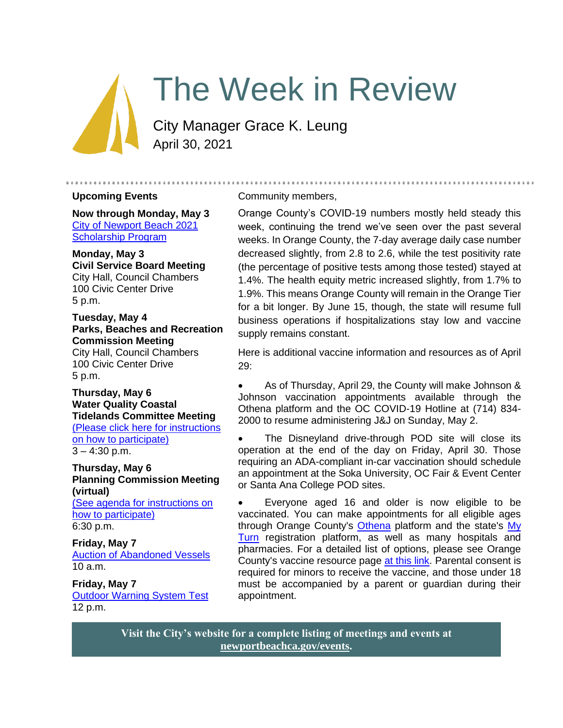# The Week in Review

City Manager Grace K. Leung April 30, 2021

#### **Upcoming Events**

**Now through Monday, May 3** [City of Newport Beach 2021](https://www.newportbeachca.gov/government/departments/human-resources/2021-scholarship-program)  [Scholarship Program](https://www.newportbeachca.gov/government/departments/human-resources/2021-scholarship-program)

#### **Monday, May 3 Civil Service Board Meeting** City Hall, Council Chambers 100 Civic Center Drive 5 p.m.

### **Tuesday, May 4 Parks, Beaches and Recreation Commission Meeting**

City Hall, Council Chambers 100 Civic Center Drive 5 p.m.

#### **Thursday, May 6 Water Quality Coastal Tidelands Committee Meeting** [\(Please click here for instructions](https://www.newportbeachca.gov/Home/Components/Calendar/Event/63468/72)  [on how to participate\)](https://www.newportbeachca.gov/Home/Components/Calendar/Event/63468/72)  $3 - 4:30$  p.m.

**Thursday, May 6 Planning Commission Meeting (virtual)**

[\(See agenda for instructions on](https://www.newportbeachca.gov/government/departments/community-development/planning-division/planning-commission)  [how to participate\)](https://www.newportbeachca.gov/government/departments/community-development/planning-division/planning-commission) 6:30 p.m.

# **Friday, May 7** [Auction of Abandoned Vessels](https://www.newportbeachca.gov/Home/Components/Calendar/Event/66555/72?curm=5&cury=2021) 10 a.m.

**Friday, May 7** [Outdoor Warning System](https://www.newportbeachca.gov/Home/Components/Calendar/Event/66024/72?curm=5&cury=2021) Test 12 p.m.

#### Community members,

Orange County's COVID-19 numbers mostly held steady this week, continuing the trend we've seen over the past several weeks. In Orange County, the 7-day average daily case number decreased slightly, from 2.8 to 2.6, while the test positivity rate (the percentage of positive tests among those tested) stayed at 1.4%. The health equity metric increased slightly, from 1.7% to 1.9%. This means Orange County will remain in the Orange Tier for a bit longer. By June 15, though, the state will resume full business operations if hospitalizations stay low and vaccine supply remains constant.

.......................

Here is additional vaccine information and resources as of April 29:

• As of Thursday, April 29, the County will make Johnson & Johnson vaccination appointments available through the Othena platform and the OC COVID-19 Hotline at (714) 834- 2000 to resume administering J&J on Sunday, May 2.

The Disneyland drive-through POD site will close its operation at the end of the day on Friday, April 30. Those requiring an ADA-compliant in-car vaccination should schedule an appointment at the Soka University, OC Fair & Event Center or Santa Ana College POD sites.

• Everyone aged 16 and older is now eligible to be vaccinated. You can make appointments for all eligible ages through Orange County's [Othena](http://www.othena.com/) platform and the state's My [Turn](https://myturn.ca.gov/) registration platform, as well as many hospitals and pharmacies. For a detailed list of options, please see Orange County's vaccine resource page [at this link.](https://occovid19.ochealthinfo.com/covid-19-vaccine-distribution-channels) Parental consent is required for minors to receive the vaccine, and those under 18 must be accompanied by a parent or guardian during their appointment.

**Visit the City's website for a complete listing of meetings and events at [newportbeachca.gov/events.](https://www.newportbeachca.gov/government/data-hub/city-calendar)**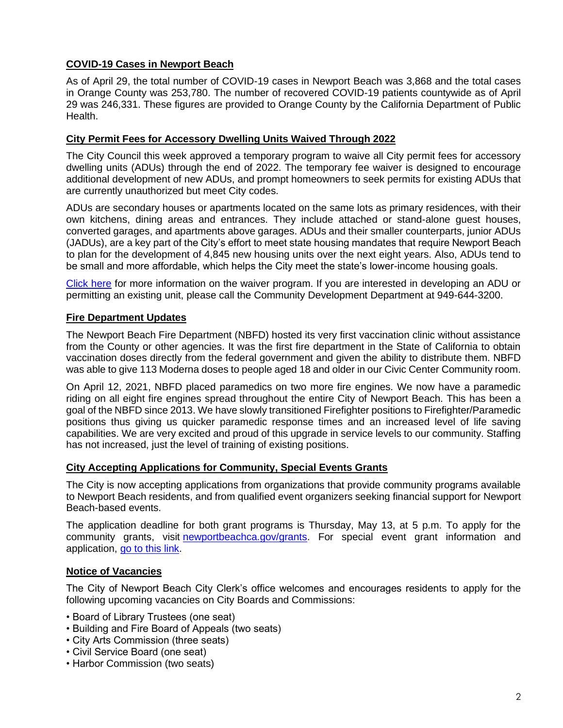# **COVID-19 Cases in Newport Beach**

As of April 29, the total number of COVID-19 cases in Newport Beach was 3,868 and the total cases in Orange County was 253,780. The number of recovered COVID-19 patients countywide as of April 29 was 246,331. These figures are provided to Orange County by the California Department of Public Health.

## **City Permit Fees for Accessory Dwelling Units Waived Through 2022**

The City Council this week approved a temporary program to waive all City permit fees for accessory dwelling units (ADUs) through the end of 2022. The temporary fee waiver is designed to encourage additional development of new ADUs, and prompt homeowners to seek permits for existing ADUs that are currently unauthorized but meet City codes.

ADUs are secondary houses or apartments located on the same lots as primary residences, with their own kitchens, dining areas and entrances. They include attached or stand-alone guest houses, converted garages, and apartments above garages. ADUs and their smaller counterparts, junior ADUs (JADUs), are a key part of the City's effort to meet state housing mandates that require Newport Beach to plan for the development of 4,845 new housing units over the next eight years. Also, ADUs tend to be small and more affordable, which helps the City meet the state's lower-income housing goals.

[Click here](https://www.newportbeachca.gov/Home/Components/News/News/39267/2720) for more information on the waiver program. If you are interested in developing an ADU or permitting an existing unit, please call the Community Development Department at 949-644-3200.

### **Fire Department Updates**

The Newport Beach Fire Department (NBFD) hosted its very first vaccination clinic without assistance from the County or other agencies. It was the first fire department in the State of California to obtain vaccination doses directly from the federal government and given the ability to distribute them. NBFD was able to give 113 Moderna doses to people aged 18 and older in our Civic Center Community room.

On April 12, 2021, NBFD placed paramedics on two more fire engines. We now have a paramedic riding on all eight fire engines spread throughout the entire City of Newport Beach. This has been a goal of the NBFD since 2013. We have slowly transitioned Firefighter positions to Firefighter/Paramedic positions thus giving us quicker paramedic response times and an increased level of life saving capabilities. We are very excited and proud of this upgrade in service levels to our community. Staffing has not increased, just the level of training of existing positions.

### **City Accepting Applications for Community, Special Events Grants**

The City is now accepting applications from organizations that provide community programs available to Newport Beach residents, and from qualified event organizers seeking financial support for Newport Beach-based events.

The application deadline for both grant programs is Thursday, May 13, at 5 p.m. To apply for the community grants, visit [newportbeachca.gov/grants.](https://www.newportbeachca.gov/government/departments/city-manager/community-programs-grants) For special event grant information and application, [go to this link.](https://www.newportbeachca.gov/government/departments/recreation-senior-services/grants)

### **Notice of Vacancies**

The City of Newport Beach City Clerk's office welcomes and encourages residents to apply for the following upcoming vacancies on City Boards and Commissions:

- Board of Library Trustees (one seat)
- Building and Fire Board of Appeals (two seats)
- City Arts Commission (three seats)
- Civil Service Board (one seat)
- Harbor Commission (two seats)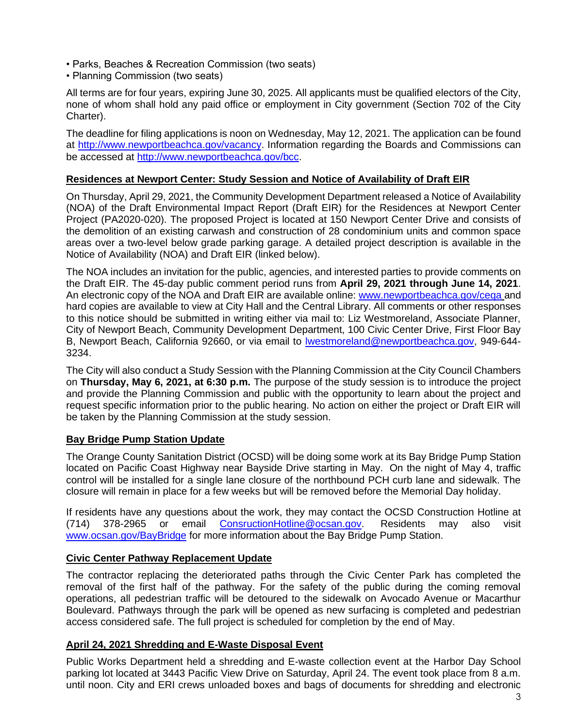- Parks, Beaches & Recreation Commission (two seats)
- Planning Commission (two seats)

All terms are for four years, expiring June 30, 2025. All applicants must be qualified electors of the City, none of whom shall hold any paid office or employment in City government (Section 702 of the City Charter).

The deadline for filing applications is noon on Wednesday, May 12, 2021. The application can be found at [http://www.newportbeachca.gov/vacancy.](http://www.newportbeachca.gov/vacancy) Information regarding the Boards and Commissions can be accessed at [http://www.newportbeachca.gov/bcc.](http://www.newportbeachca.gov/bcc)

## **Residences at Newport Center: Study Session and Notice of Availability of Draft EIR**

On Thursday, April 29, 2021, the Community Development Department released a Notice of Availability (NOA) of the Draft Environmental Impact Report (Draft EIR) for the Residences at Newport Center Project (PA2020-020). The proposed Project is located at 150 Newport Center Drive and consists of the demolition of an existing carwash and construction of 28 condominium units and common space areas over a two-level below grade parking garage. A detailed project description is available in the Notice of Availability (NOA) and Draft EIR (linked below).

The NOA includes an invitation for the public, agencies, and interested parties to provide comments on the Draft EIR. The 45-day public comment period runs from **April 29, 2021 through June 14, 2021**. An electronic copy of the NOA and Draft EIR are available online: [www.newportbeachca.gov/ceqa](http://www.newportbeachca.gov/ceqa) and hard copies are available to view at City Hall and the Central Library. All comments or other responses to this notice should be submitted in writing either via mail to: Liz Westmoreland, Associate Planner, City of Newport Beach, Community Development Department, 100 Civic Center Drive, First Floor Bay B, Newport Beach, California 92660, or via email to [lwestmoreland@newportbeachca.gov,](mailto:lwestmoreland@newportbeachca.gov) 949-644- 3234.

The City will also conduct a Study Session with the Planning Commission at the City Council Chambers on **Thursday, May 6, 2021, at 6:30 p.m.** The purpose of the study session is to introduce the project and provide the Planning Commission and public with the opportunity to learn about the project and request specific information prior to the public hearing. No action on either the project or Draft EIR will be taken by the Planning Commission at the study session.

# **Bay Bridge Pump Station Update**

The Orange County Sanitation District (OCSD) will be doing some work at its Bay Bridge Pump Station located on Pacific Coast Highway near Bayside Drive starting in May. On the night of May 4, traffic control will be installed for a single lane closure of the northbound PCH curb lane and sidewalk. The closure will remain in place for a few weeks but will be removed before the Memorial Day holiday.

If residents have any questions about the work, they may contact the OCSD Construction Hotline at (714) 378-2965 or email [ConsructionHotline@ocsan.gov.](mailto:ConsructionHotline@ocsan.gov) Residents may also visit [www.ocsan.gov/BayBridge](https://gcc02.safelinks.protection.outlook.com/?url=http%3A%2F%2Fwww.ocsan.gov%2FBayBridge&data=04%7C01%7Cmperry%40ocsan.gov%7Cb5c44e2de2df48f5010608d90b2b9617%7C7dc58bd8971e44ae934be60eafc73549%7C1%7C0%7C637553104110761643%7CUnknown%7CTWFpbGZsb3d8eyJWIjoiMC4wLjAwMDAiLCJQIjoiV2luMzIiLCJBTiI6Ik1haWwiLCJXVCI6Mn0%3D%7C1000&sdata=II%2F0pK%2BYPiVU85aMkXqMIMX%2FCVNJVZcdAekZFgrJ3A4%3D&reserved=0) for more information about the Bay Bridge Pump Station.

### **Civic Center Pathway Replacement Update**

The contractor replacing the deteriorated paths through the Civic Center Park has completed the removal of the first half of the pathway. For the safety of the public during the coming removal operations, all pedestrian traffic will be detoured to the sidewalk on Avocado Avenue or Macarthur Boulevard. Pathways through the park will be opened as new surfacing is completed and pedestrian access considered safe. The full project is scheduled for completion by the end of May.

### **April 24, 2021 Shredding and E-Waste Disposal Event**

Public Works Department held a shredding and E-waste collection event at the Harbor Day School parking lot located at 3443 Pacific View Drive on Saturday, April 24. The event took place from 8 a.m. until noon. City and ERI crews unloaded boxes and bags of documents for shredding and electronic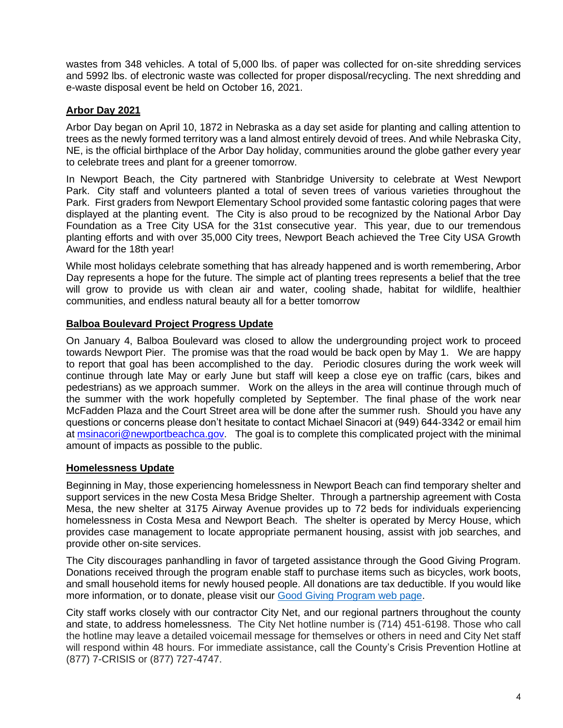wastes from 348 vehicles. A total of 5,000 lbs. of paper was collected for on-site shredding services and 5992 lbs. of electronic waste was collected for proper disposal/recycling. The next shredding and e-waste disposal event be held on October 16, 2021.

## **Arbor Day 2021**

Arbor Day began on April 10, 1872 in Nebraska as a day set aside for planting and calling attention to trees as the newly formed territory was a land almost entirely devoid of trees. And while Nebraska City, NE, is the official birthplace of the Arbor Day holiday, communities around the globe gather every year to celebrate trees and plant for a greener tomorrow.

In Newport Beach, the City partnered with Stanbridge University to celebrate at West Newport Park. City staff and volunteers planted a total of seven trees of various varieties throughout the Park. First graders from Newport Elementary School provided some fantastic coloring pages that were displayed at the planting event. The City is also proud to be recognized by the National Arbor Day Foundation as a Tree City USA for the 31st consecutive year. This year, due to our tremendous planting efforts and with over 35,000 City trees, Newport Beach achieved the Tree City USA Growth Award for the 18th year!

While most holidays celebrate something that has already happened and is worth remembering, Arbor Day represents a hope for the future. The simple act of planting trees represents a belief that the tree will grow to provide us with clean air and water, cooling shade, habitat for wildlife, healthier communities, and endless natural beauty all for a better tomorrow

### **Balboa Boulevard Project Progress Update**

On January 4, Balboa Boulevard was closed to allow the undergrounding project work to proceed towards Newport Pier. The promise was that the road would be back open by May 1. We are happy to report that goal has been accomplished to the day. Periodic closures during the work week will continue through late May or early June but staff will keep a close eye on traffic (cars, bikes and pedestrians) as we approach summer. Work on the alleys in the area will continue through much of the summer with the work hopefully completed by September. The final phase of the work near McFadden Plaza and the Court Street area will be done after the summer rush. Should you have any questions or concerns please don't hesitate to contact Michael Sinacori at (949) 644-3342 or email him at [msinacori@newportbeachca.gov.](mailto:msinacori@newportbeachca.gov) The goal is to complete this complicated project with the minimal amount of impacts as possible to the public.

### **Homelessness Update**

Beginning in May, those experiencing homelessness in Newport Beach can find temporary shelter and support services in the new Costa Mesa Bridge Shelter. Through a partnership agreement with Costa Mesa, the new shelter at 3175 Airway Avenue provides up to 72 beds for individuals experiencing homelessness in Costa Mesa and Newport Beach. The shelter is operated by Mercy House, which provides case management to locate appropriate permanent housing, assist with job searches, and provide other on-site services.

The City discourages panhandling in favor of targeted assistance through the Good Giving Program. Donations received through the program enable staff to purchase items such as bicycles, work boots, and small household items for newly housed people. All donations are tax deductible. If you would like more information, or to donate, please visit our [Good Giving Program web page.](https://newportbeachca.gov/trending/community-issues/homelessness/how-you-can-help)

City staff works closely with our contractor City Net, and our regional partners throughout the county and state, to address homelessness. The City Net hotline number is (714) 451-6198. Those who call the hotline may leave a detailed voicemail message for themselves or others in need and City Net staff will respond within 48 hours. For immediate assistance, call the County's Crisis Prevention Hotline at (877) 7-CRISIS or (877) 727-4747.